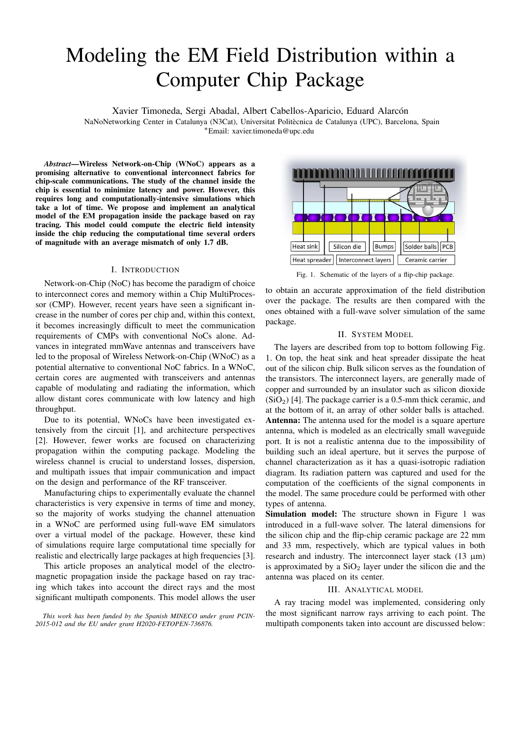# Modeling the EM Field Distribution within a Computer Chip Package

Xavier Timoneda, Sergi Abadal, Albert Cabellos-Aparicio, Eduard Alarcón

NaNoNetworking Center in Catalunya (N3Cat), Universitat Politecnica de Catalunya (UPC), Barcelona, Spain ` <sup>∗</sup>Email: xavier.timoneda@upc.edu

*Abstract*—Wireless Network-on-Chip (WNoC) appears as a promising alternative to conventional interconnect fabrics for chip-scale communications. The study of the channel inside the chip is essential to minimize latency and power. However, this requires long and computationally-intensive simulations which take a lot of time. We propose and implement an analytical model of the EM propagation inside the package based on ray tracing. This model could compute the electric field intensity inside the chip reducing the computational time several orders of magnitude with an average mismatch of only 1.7 dB.

### I. INTRODUCTION

Network-on-Chip (NoC) has become the paradigm of choice to interconnect cores and memory within a Chip MultiProcessor (CMP). However, recent years have seen a significant increase in the number of cores per chip and, within this context, it becomes increasingly difficult to meet the communication requirements of CMPs with conventional NoCs alone. Advances in integrated mmWave antennas and transceivers have led to the proposal of Wireless Network-on-Chip (WNoC) as a potential alternative to conventional NoC fabrics. In a WNoC, certain cores are augmented with transceivers and antennas capable of modulating and radiating the information, which allow distant cores communicate with low latency and high throughput.

Due to its potential, WNoCs have been investigated extensively from the circuit [1], and architecture perspectives [2]. However, fewer works are focused on characterizing propagation within the computing package. Modeling the wireless channel is crucial to understand losses, dispersion, and multipath issues that impair communication and impact on the design and performance of the RF transceiver.

Manufacturing chips to experimentally evaluate the channel characteristics is very expensive in terms of time and money, so the majority of works studying the channel attenuation in a WNoC are performed using full-wave EM simulators over a virtual model of the package. However, these kind of simulations require large computational time specially for realistic and electrically large packages at high frequencies [3].

This article proposes an analytical model of the electromagnetic propagation inside the package based on ray tracing which takes into account the direct rays and the most significant multipath components. This model allows the user



Fig. 1. Schematic of the layers of a flip-chip package.

to obtain an accurate approximation of the field distribution over the package. The results are then compared with the ones obtained with a full-wave solver simulation of the same package.

## II. SYSTEM MODEL

The layers are described from top to bottom following Fig. 1. On top, the heat sink and heat spreader dissipate the heat out of the silicon chip. Bulk silicon serves as the foundation of the transistors. The interconnect layers, are generally made of copper and surrounded by an insulator such as silicon dioxide  $(SiO<sub>2</sub>)$  [4]. The package carrier is a 0.5-mm thick ceramic, and at the bottom of it, an array of other solder balls is attached. Antenna: The antenna used for the model is a square aperture antenna, which is modeled as an electrically small waveguide port. It is not a realistic antenna due to the impossibility of building such an ideal aperture, but it serves the purpose of channel characterization as it has a quasi-isotropic radiation diagram. Its radiation pattern was captured and used for the computation of the coefficients of the signal components in the model. The same procedure could be performed with other types of antenna.

Simulation model: The structure shown in Figure 1 was introduced in a full-wave solver. The lateral dimensions for the silicon chip and the flip-chip ceramic package are 22 mm and 33 mm, respectively, which are typical values in both research and industry. The interconnect layer stack  $(13 \mu m)$ is approximated by a  $SiO<sub>2</sub>$  layer under the silicon die and the antenna was placed on its center.

## III. ANALYTICAL MODEL

A ray tracing model was implemented, considering only the most significant narrow rays arriving to each point. The multipath components taken into account are discussed below:

*This work has been funded by the Spanish MINECO under grant PCIN-2015-012 and the EU under grant H2020-FETOPEN-736876.*